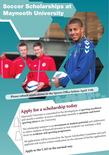## Soccer Scholarships at Maynooth University

**Please submit applications to the Sports Office before April 15th**

Ø

# **Apply for a scholarship today**

Maynooth University is committed to the development of **sporting excellence**<br>and awards a number of soccer scholarships annually to **promote and foster**<br>**sporting talent** in the University. and awards a number of soccer scholarships annually to **promote and foster** and awards a number of soccer scholarships annually to **promote** and foster and awards a number University.<br> **sporting talent** in the University.<br>
The scholarship initiative is an **investment in student potential** and endeavours<br>
The scholarship initiative is an **investment** in student can maintai to relieve students of financial pressure so that recipient can maintain a dual focus on **academic and sporting progression.** All applications will be reviewed by the Sports Scholarship Committee and each applicant will receive written notification on the outcome of his/her application.

**Apply to the CAO in the normal way.**